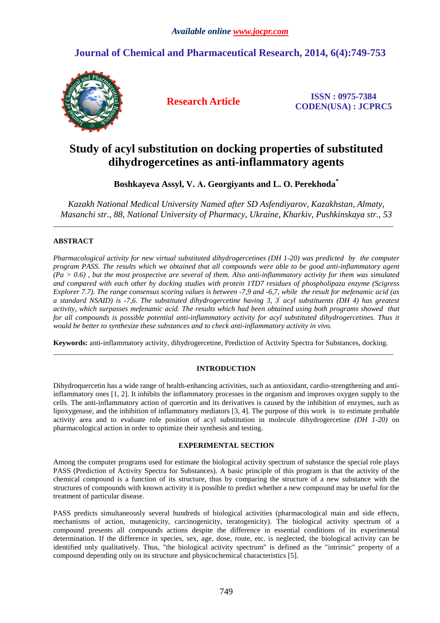## **Journal of Chemical and Pharmaceutical Research, 2014, 6(4):749-753**



**Research Article ISSN : 0975-7384 CODEN(USA) : JCPRC5**

# **Study of acyl substitution on docking properties of substituted dihydrogercetines as anti-inflammatory agents**

**Boshkayeva Assyl, V. А. Georgiyants and L. O. Perekhoda\*** 

*Kazakh National Medical University Named after SD Asfendiyarov, Kazakhstan, Almaty, Masanchi str., 88, National University of Pharmacy, Ukraine, Kharkiv, Pushkinskaya str., 53* 

\_\_\_\_\_\_\_\_\_\_\_\_\_\_\_\_\_\_\_\_\_\_\_\_\_\_\_\_\_\_\_\_\_\_\_\_\_\_\_\_\_\_\_\_\_\_\_\_\_\_\_\_\_\_\_\_\_\_\_\_\_\_\_\_\_\_\_\_\_\_\_\_\_\_\_\_\_\_\_\_\_\_\_\_\_\_\_\_\_\_\_\_

## **ABSTRACT**

*Pharmacological activity for new virtual substituted dihydrogercetines (DH 1-20) was predicted by the computer program PASS. The results which we obtained that all compounds were able to be good anti-inflammatory agent (Pa > 0.6) , but the most prospective are several of them. Also anti-inflammatory activity for them was simulated and compared with each other by docking studies with protein 1TD7 residues of phospholipaza enzyme (Scigress Explorer 7.7). The range consensus scoring values is between -7,9 and -6,7, while the result for mefenamic acid (as a standard NSAID) is -7,6. The substituted dihydrogercetine having 3, 3′ acyl substituents (DH 4) has greatest activity, which surpasses mefenamic acid. The results which had been obtained using both programs showed that for all compounds is possible potential anti-inflammatory activity for acyl substituted dihydrogercetines. Thus it would be better to synthesize these substances and to check anti-inflammatory activity in vivo.* 

**Keywords:** anti-inflammatory activity, dihydrogercetine, Prediction of Activity Spectra for Substances, docking.  $\overline{\phantom{a}}$  , and the set of the set of the set of the set of the set of the set of the set of the set of the set of the set of the set of the set of the set of the set of the set of the set of the set of the set of the s

## **INTRODUCTION**

Dihydroquercetin has a wide range of health-enhancing activities, such as antioxidant, cardio-strengthening and antiinflammatory ones [1, 2]. It inhibits the inflammatory processes in the organism and improves oxygen supply to the cells. The anti-inflammatory action of quercetin and its derivatives is caused by the inhibition of enzymes, such as lipoxygenase, and the inhibition of inflammatory mediators [3, 4]. The purpose of this work is to estimate probable activity area and to evaluate role position of acyl substitution in molecule dihydrogercetine *(DH 1-20)* on pharmacological action in order to optimize their synthesis and testing.

## **EXPERIMENTAL SECTION**

Among the computer programs used for estimate the biological activity spectrum of substance the special role plays PASS (Prediction of Activity Spectra for Substances). A basic principle of this program is that the activity of the chemical compound is a function of its structure, thus by comparing the structure of a new substance with the structures of compounds with known activity it is possible to predict whether a new compound may be useful for the treatment of particular disease.

PASS predicts simultaneously several hundreds of biological activities (pharmacological main and side effects, mechanisms of action, mutagenicity, carcinogenicity, teratogenicity). The biological activity spectrum of a compound presents all compounds actions despite the difference in essential conditions of its experimental determination. If the difference in species, sex, age, dose, route, etc. is neglected, the biological activity can be identified only qualitatively. Thus, "the biological activity spectrum" is defined as the "intrinsic" property of a compound depending only on its structure and physicochemical characteristics [5].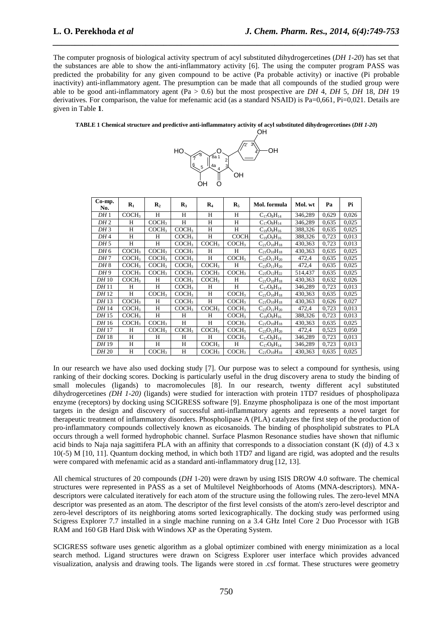The computer prognosis of biological activity spectrum of acyl substituted dihydrogercetines (*DH 1-20*) has set that the substances are able to show the anti-inflammatory activity [6]. The using the computer program PASS was predicted the probability for any given compound to be active (Pa probable activity) or inactive (Pi probable inactivity) anti-inflammatory agent. The presumption can be made that all compounds of the studied group were able to be good anti-inflammatory agent (Pa > 0.6) but the most prospective are *DH* 4, *DH* 5, *DH* 18, *DH* 19 derivatives. For comparison, the value for mefenamic acid (as a standard NSAID) is Pa=0,661, Pi=0,021. Details are given in Table **1**.

*\_\_\_\_\_\_\_\_\_\_\_\_\_\_\_\_\_\_\_\_\_\_\_\_\_\_\_\_\_\_\_\_\_\_\_\_\_\_\_\_\_\_\_\_\_\_\_\_\_\_\_\_\_\_\_\_\_\_\_\_\_\_\_\_\_\_\_\_\_\_\_\_\_\_\_\_\_\_*

### **TABLE 1 Chemical structure and predictive anti-inflammatory activity of acyl substituted dihydrogercetines (***DH 1-20***)**



| $Co-mp.$<br>No. | $\mathbf{R}_1$    | $\mathbf{R}_2$    | $\mathbf{R}_3$    | $\mathbf{R}_4$    | $\mathbf{R}_5$    | Mol. formula         | Mol. wt | Pa    | Pi    |
|-----------------|-------------------|-------------------|-------------------|-------------------|-------------------|----------------------|---------|-------|-------|
| DH1             | COCH <sub>3</sub> | H                 | H                 | H                 | H                 | $C_{17}O_8H_{14}$    | 346,289 | 0,629 | 0,026 |
| DH <sub>2</sub> | H                 | COCH3             | H                 | H                 | H                 | $C_{17}O_8H_{14}$    | 346,289 | 0,635 | 0,025 |
| DH <sub>3</sub> | H                 | COCH <sub>3</sub> | COCH <sub>3</sub> | H                 | H                 | $C_{19}O_{9}H_{16}$  | 388,326 | 0,635 | 0,025 |
| DH 4            | H                 | H                 | COCH <sub>3</sub> | H                 | <b>COCH-</b>      | $C_{19}O_{9}H_{16}$  | 388.326 | 0.723 | 0,013 |
| DH 5            | H                 | H                 | COCH <sub>3</sub> | COCH <sub>3</sub> | COCH <sub>3</sub> | $C_{21}O_{10}H_{18}$ | 430,363 | 0,723 | 0,013 |
| DH 6            | COCH <sub>3</sub> | COCH <sub>3</sub> | COCH <sub>3</sub> | H                 | H                 | $C_{21}O_{10}H_{18}$ | 430,363 | 0,635 | 0,025 |
| DH 7            | COCH <sub>3</sub> | COCH <sub>3</sub> | COCH <sub>3</sub> | H                 | COCH <sub>3</sub> | $C_{23}O_{11}H_{20}$ | 472,4   | 0.635 | 0,025 |
| DH8             | COCH <sub>3</sub> | COCH <sub>3</sub> | COCH <sub>3</sub> | COCH <sub>3</sub> | H                 | $C_{23}O_{11}H_{20}$ | 472,4   | 0,635 | 0,025 |
| DH <sub>9</sub> | COCH <sub>3</sub> | COCH <sub>3</sub> | COCH <sub>3</sub> | COCH <sub>3</sub> | COCH <sub>3</sub> | $C_{25}O_{12}H_{22}$ | 514,437 | 0,635 | 0,025 |
| DH 10           | COCH <sub>3</sub> | H                 | COCH <sub>3</sub> | COCH <sub>3</sub> | H                 | $C_{21}O_{10}H_{18}$ | 430,363 | 0,632 | 0,026 |
| DH 11           | H                 | H                 | COCH <sub>3</sub> | H                 | H                 | $C_{17}O_8H_{14}$    | 346,289 | 0,723 | 0,013 |
| DH 12           | H                 | COCH <sub>3</sub> | COCH <sub>3</sub> | H                 | COCH <sub>3</sub> | $C_{21}O_{10}H_{18}$ | 430.363 | 0.635 | 0,025 |
| DH 13           | COCH <sub>3</sub> | H                 | COCH <sub>3</sub> | H                 | COCH <sub>3</sub> | $C_{21}O_{10}H_{18}$ | 430,363 | 0,626 | 0,027 |
| DH 14           | COCH <sub>3</sub> | H                 | COCH <sub>3</sub> | COCH <sub>3</sub> | COCH <sub>3</sub> | $C_{23}O_{11}H_{20}$ | 472,4   | 0.723 | 0,013 |
| DH 15           | COCH <sub>3</sub> | H                 | H                 | H                 | COCH <sub>3</sub> | $C_{19}O_9H_{16}$    | 388,326 | 0.723 | 0,013 |
| DH 16           | COCH <sub>3</sub> | COCH <sub>3</sub> | H                 | H                 | COCH <sub>3</sub> | $C_{21}O_{10}H_{18}$ | 430,363 | 0,635 | 0,025 |
| DH 17           | H                 | COCH <sub>3</sub> | COCH <sub>3</sub> | COCH3             | COCH <sub>3</sub> | $C_{23}O_{11}H_{20}$ | 472,4   | 0,523 | 0,050 |
| DH 18           | H                 | H                 | H                 | H                 | COCH <sub>3</sub> | $C_{17}O_8H_{14}$    | 346,289 | 0.723 | 0.013 |
| DH 19           | H                 | H                 | H                 | COCH <sub>3</sub> | H                 | $C_{17}O_8H_{14}$    | 346,289 | 0.723 | 0,013 |
| DH 20           | H                 | COCH <sub>3</sub> | H                 | COCH3             | COCH <sub>3</sub> | $C_{21}O_{10}H_{18}$ | 430.363 | 0,635 | 0,025 |

In our research we have also used docking study [7]. Our purpose was to select a compound for synthesis, using ranking of their docking scores. Docking is particularly useful in the drug discovery arena to study the binding of small molecules (ligands) to macromolecules [8]. In our research, twenty different acyl substituted dihydrogercetines *(DH 1-20)* (ligands) were studied for interaction with protein 1TD7 residues of phospholipaza enzyme (receptors) by docking using SCIGRESS software [9]. Enzyme phospholipaza is one of the most important targets in the design and discovery of successful anti-inflammatory agents and represents a novel target for therapeutic treatment of inflammatory disorders. Phospholipase A (PLA) catalyzes the first step of the production of pro-inflammatory compounds collectively known as eicosanoids. The binding of phospholipid substrates to PLA occurs through a well formed hydrophobic channel. Surface Plasmon Resonance studies have shown that niflumic acid binds to Naja naja sagittifera PLA with an affinity that corresponds to a dissociation constant (K (d)) of 4.3 x 10(-5) M [10, 11]. Quantum docking method, in which both 1ТD7 and ligand are rigid, was adopted and the results were compared with mefenamic acid as a standard anti-inflammatory drug [12, 13].

All chemical structures of 20 compounds (*DH* 1-20) were drawn by using ISIS DROW 4.0 software. The chemical structures were represented in PASS as a set of Multilevel Neighborhoods of Atoms (MNA-descriptors). MNAdescriptors were calculated iteratively for each atom of the structure using the following rules. The zero-level MNA descriptor was presented as an atom. The descriptor of the first level consists of the atom's zero-level descriptor and zero-level descriptors of its neighboring atoms sorted lexicographically. The docking study was performed using Scigress Explorer 7.7 installed in a single machine running on a 3.4 GHz Intel Core 2 Duo Processor with 1GB RAM and 160 GB Hard Disk with Windows XP as the Operating System.

SCIGRESS software uses genetic algorithm as a global optimizer combined with energy minimization as a local search method. Ligand structures were drawn on Scigress Explorer user interface which provides advanced visualization, analysis and drawing tools. The ligands were stored in .csf format. These structures were geometry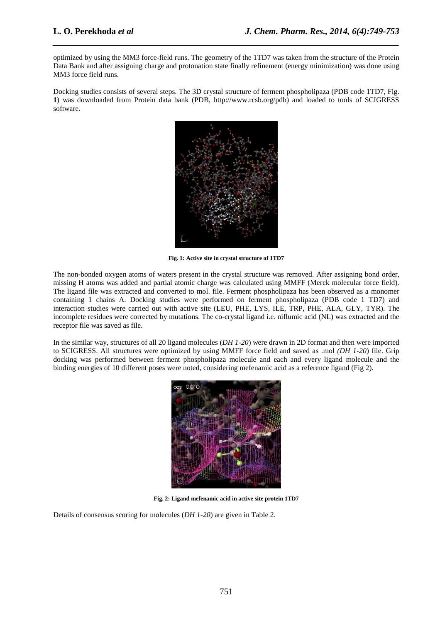optimized by using the MM3 force-field runs. The geometry of the 1TD7 was taken from the structure of the Protein Data Bank and after assigning charge and protonation state finally refinement (energy minimization) was done using MM3 force field runs.

*\_\_\_\_\_\_\_\_\_\_\_\_\_\_\_\_\_\_\_\_\_\_\_\_\_\_\_\_\_\_\_\_\_\_\_\_\_\_\_\_\_\_\_\_\_\_\_\_\_\_\_\_\_\_\_\_\_\_\_\_\_\_\_\_\_\_\_\_\_\_\_\_\_\_\_\_\_\_*

Docking studies consists of several steps. The 3D crystal structure of ferment phospholipaza (PDB code 1TD7, Fig. **1**) was downloaded from Protein data bank (PDB, http://www.rcsb.org/pdb) and loaded to tools of SCIGRESS software.



**Fig. 1: Active site in crystal structure of 1TD7** 

The non-bonded oxygen atoms of waters present in the crystal structure was removed. After assigning bond order, missing H atoms was added and partial atomic charge was calculated using MMFF (Merck molecular force field). The ligand file was extracted and converted to mol. file. Ferment phospholipaza has been observed as a monomer containing 1 chains A. Docking studies were performed on ferment phospholipaza (PDB code 1 TD7) and interaction studies were carried out with active site (LEU, PHE, LYS, ILE, TRP, PHE, ALA, GLY, TYR). The incomplete residues were corrected by mutations. The co-crystal ligand i.e. niflumic acid (NL) was extracted and the receptor file was saved as file.

In the similar way, structures of all 20 ligand molecules (*DH 1-20*) were drawn in 2D format and then were imported to SCIGRESS. All structures were optimized by using MMFF force field and saved as .mol *(DH 1-20*) file. Grip docking was performed between ferment phospholipaza molecule and each and every ligand molecule and the binding energies of 10 different poses were noted, considering mefenamic acid as a reference ligand (Fig 2).



**Fig. 2: Ligand mefenamic acid in active site protein 1TD7** 

Details of consensus scoring for molecules (*DH 1-20*) are given in Table 2.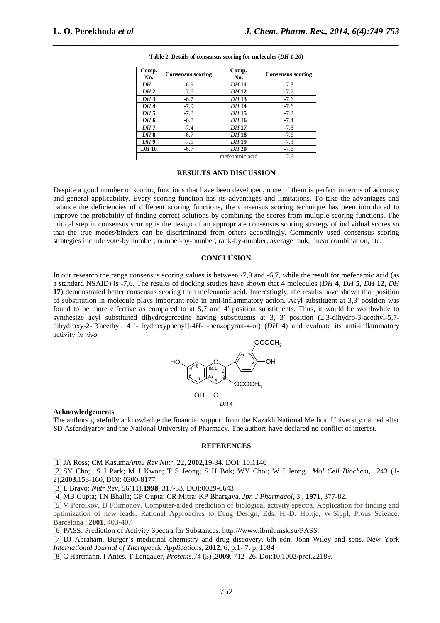| Comp.<br>No.    | <b>Consensus scoring</b> | Comp.<br>No.   | <b>Consensus scoring</b> |
|-----------------|--------------------------|----------------|--------------------------|
| DH1             | $-6.9$                   | DH 11          | $-7.3$                   |
| DH2             | $-7.6$                   | DH 12          | $-7.7$                   |
| DH3             | $-6.7$                   | DH 13          | $-7.6$                   |
| DH <sub>4</sub> | $-7.9$                   | <b>DH14</b>    | $-7.6$                   |
| DH <sub>5</sub> | $-7.8$                   | DH 15          | $-7.2$                   |
| DH <sub>6</sub> | $-6.8$                   | DH 16          | $-7.4$                   |
| DH 7            | $-7.4$                   | DH 17          | $-7.8$                   |
| DH <sub>8</sub> | $-6.7$                   | DH 18          | $-7.6$                   |
| DH <sub>9</sub> | $-7.1$                   | DH 19          | $-7.3$                   |
| DH 10           | $-6.7$                   | DH 20          | $-7.6$                   |
|                 |                          | mefenamic acid | $-7.6$                   |

**Table 2. Details of consensus scoring for molecules (***DH 1-20***)** 

*\_\_\_\_\_\_\_\_\_\_\_\_\_\_\_\_\_\_\_\_\_\_\_\_\_\_\_\_\_\_\_\_\_\_\_\_\_\_\_\_\_\_\_\_\_\_\_\_\_\_\_\_\_\_\_\_\_\_\_\_\_\_\_\_\_\_\_\_\_\_\_\_\_\_\_\_\_\_*

#### **RESULTS AND DISCUSSION**

Despite a good number of scoring functions that have been developed, none of them is perfect in terms of accuracy and general applicability. Every scoring function has its advantages and limitations. To take the advantages and balance the deficiencies of different scoring functions, the consensus scoring technique has been introduced to improve the probability of finding correct solutions by combining the scores from multiple scoring functions. The critical step in consensus scoring is the design of an appropriate consensus scoring strategy of individual scores so that the true modes/binders can be discriminated from others accordingly. Commonly used consensus scoring strategies include vote-by number, number-by-number, rank-by-number, average rank, linear combination, etc.

### **CONCLUSION**

In our research the range consensus scoring values is between -7,9 and -6,7, while the result for mefenamic acid (as a standard NSAID) is -7,6. The results of docking studies have shown that 4 molecules (*DH* **4,** *DH* **5***, DH* **12,** *DH* **17**) demonstrated better consensus scoring than mefenamic acid. Interestingly, the results have shown that position of substitution in molecule plays important role in anti-inflammatory action. Асyl substituent at 3,3′ position was found to be more effective as compared to at 5,7 and 4′ position substituents. Thus, it would be worthwhile to synthesize acyl substituted dihydrogercetine having substituents at 3, 3' position (2,3-dihydro-3-acethyl-5,7dihydroxy-2-[3'acethyl, 4 '- hydroxyphenyl]-4*H*-1-benzopyran-4-ol) (*DH* **4**) and evaluate its anti-inflammatory activity *in vivo.*



#### **Acknowledgements**

The authors gratefully acknowledge the financial support from the Kazakh National Medical University named after SD Asfendiyarov and the National University of Pharmacy. The authors have declared no conflict of interest.

#### **REFERENCES**

[1]JA Ross; CM Kasuma*Annu Rev Nutr*, 22**, 2002**,19-34. DOI: 10.1146

[2] SY Cho; S J Park; M J Kwon; T S Jeong; S H Bok; WY Choi; W I Jeong.. *Mol Cell Biochem*, 243 (1- 2),**2003**,153-160, DOI: 0300-8177

[3] L Bravo; *Nutr Rev*, 56(11),**1998**, 317-33. DOI:0029-6643

[4] MB Gupta; TN Bhalla; GP Gupta; CR Mitra; KP Bhargava. *Jpn J Pharmacol*, 3 , **1971**, 377-82.

[5] V Poroikov, D Filimonov. Computer-aided prediction of biological activity spectra. Application for finding and optimization of new leads, Rational Approaches to Drug Design, Eds. H.-D. Holtje, W.Sippl, Prous Science, Barcelona , **2001**, 403-407

[6] PASS: Prediction of Activity Spectra for Substances. http:///www.ibmh.msk.su/PASS.

[7] DJ Abraham, Burger's medicinal chemistry and drug discovery, 6th edn. John Wiley and sons, New York *International Journal of Therapeutic Applications*, **2012**, 6, p.1- 7, p. 1084

[8] C Hartmann, I Antes, T Lengauer, *Proteins*,74 (3) ,**2009**, 712–26. Doi:10.1002/prot.22189.